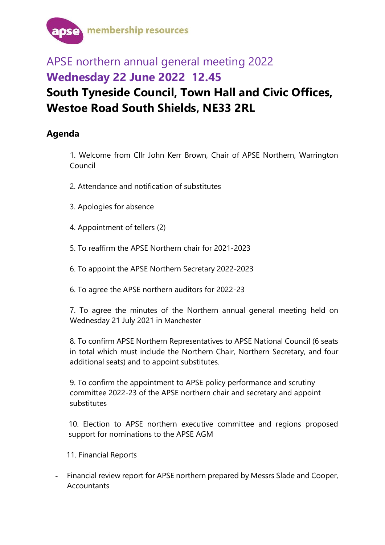

## APSE northern annual general meeting 2022 **Wednesday 22 June 2022 12.45 South Tyneside Council, Town Hall and Civic Offices, Westoe Road South Shields, NE33 2RL**

## **Agenda**

1. Welcome from Cllr John Kerr Brown, Chair of APSE Northern, Warrington Council

- 2. Attendance and notification of substitutes
- 3. Apologies for absence
- 4. Appointment of tellers (2)
- 5. To reaffirm the APSE Northern chair for 2021-2023
- 6. To appoint the APSE Northern Secretary 2022-2023
- 6. To agree the APSE northern auditors for 2022-23

7. To agree the minutes of the Northern annual general meeting held on Wednesday 21 July 2021 in Manchester

8. To confirm APSE Northern Representatives to APSE National Council (6 seats in total which must include the Northern Chair, Northern Secretary, and four additional seats) and to appoint substitutes.

9. To confirm the appointment to APSE policy performance and scrutiny committee 2022-23 of the APSE northern chair and secretary and appoint substitutes

10. Election to APSE northern executive committee and regions proposed support for nominations to the APSE AGM

11. Financial Reports

- Financial review report for APSE northern prepared by Messrs Slade and Cooper, **Accountants**